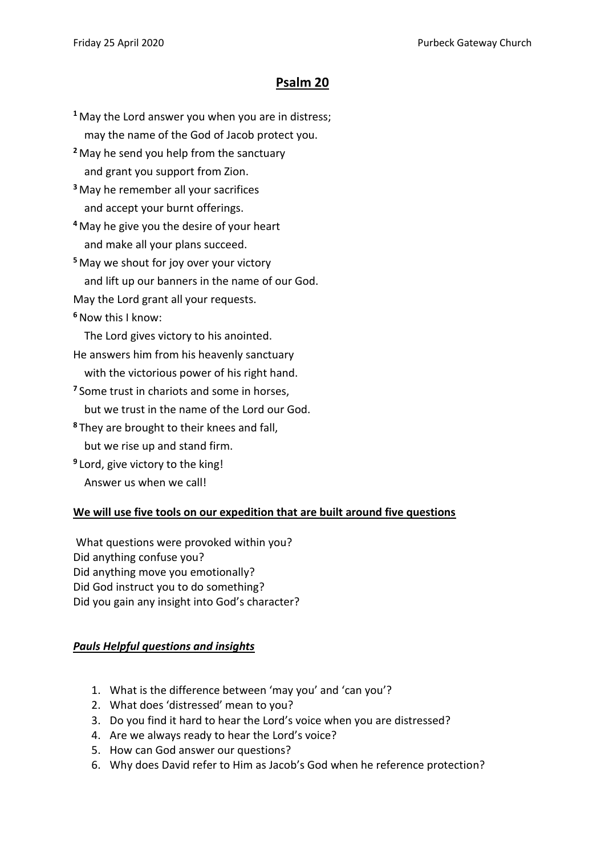## **Psalm 20**

**<sup>1</sup>** May the Lord answer you when you are in distress; may the name of the God of Jacob protect you.

**<sup>2</sup>** May he send you help from the sanctuary and grant you support from Zion.

**<sup>3</sup>** May he remember all your sacrifices and accept your burnt offerings.

**<sup>4</sup>** May he give you the desire of your heart and make all your plans succeed.

**<sup>5</sup>** May we shout for joy over your victory and lift up our banners in the name of our God.

May the Lord grant all your requests.

**<sup>6</sup>**Now this I know:

The Lord gives victory to his anointed.

He answers him from his heavenly sanctuary

with the victorious power of his right hand.

**<sup>7</sup>** Some trust in chariots and some in horses,

but we trust in the name of the Lord our God.

**<sup>8</sup>** They are brought to their knees and fall, but we rise up and stand firm.

**9** Lord, give victory to the king!

Answer us when we call!

## **We will use five tools on our expedition that are built around five questions**

What questions were provoked within you? Did anything confuse you? Did anything move you emotionally? Did God instruct you to do something? Did you gain any insight into God's character?

## *Pauls Helpful questions and insights*

- 1. What is the difference between 'may you' and 'can you'?
- 2. What does 'distressed' mean to you?
- 3. Do you find it hard to hear the Lord's voice when you are distressed?
- 4. Are we always ready to hear the Lord's voice?
- 5. How can God answer our questions?
- 6. Why does David refer to Him as Jacob's God when he reference protection?